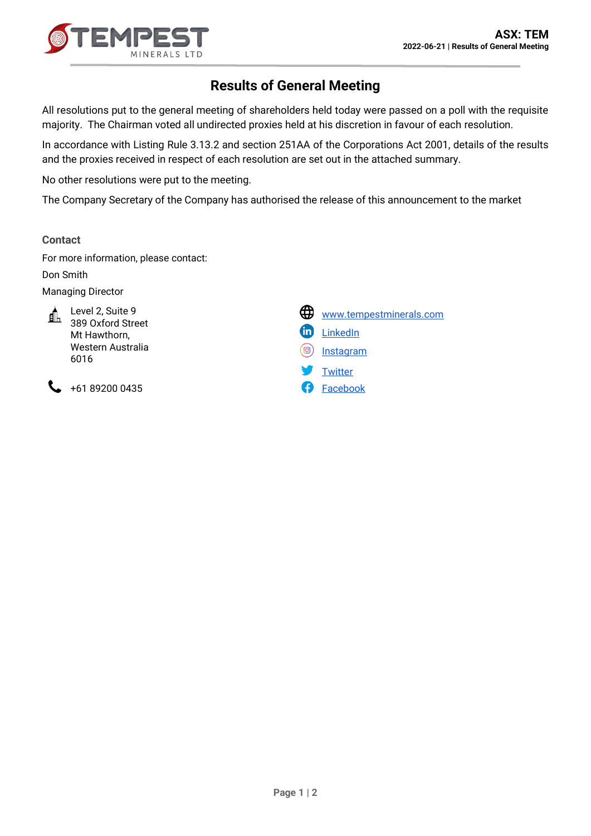

## **Results of General Meeting**

All resolutions put to the general meeting of shareholders held today were passed on a poll with the requisite majority. The Chairman voted all undirected proxies held at his discretion in favour of each resolution.

In accordance with Listing Rule 3.13.2 and section 251AA of the Corporations Act 2001, details of the results and the proxies received in respect of each resolution are set out in the attached summary.

No other resolutions were put to the meeting.

The Company Secretary of the Company has authorised the release of this announcement to the market

## **Contact**

For more information, please contact:

Don Smith

Managing Director



 $\begin{array}{ccc} \bullet & \text{+61 89200 0435} \\ \end{array}$